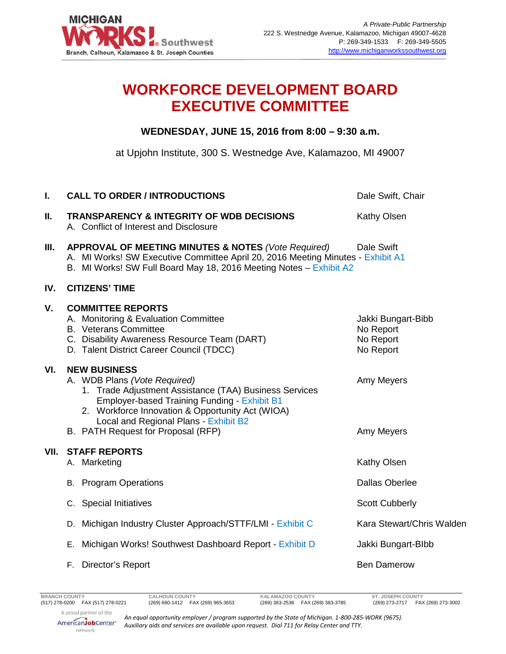

## **WORKFORCE DEVELOPMENT BOARD EXECUTIVE COMMITTEE**

## **WEDNESDAY, JUNE 15, 2016 from 8:00 – 9:30 a.m.**

at Upjohn Institute, 300 S. Westnedge Ave, Kalamazoo, MI 49007

| I.   | <b>CALL TO ORDER / INTRODUCTIONS</b>                                                                                                                                                                                                                                                                    | Dale Swift, Chair                                         |
|------|---------------------------------------------------------------------------------------------------------------------------------------------------------------------------------------------------------------------------------------------------------------------------------------------------------|-----------------------------------------------------------|
| Ш.   | <b>TRANSPARENCY &amp; INTEGRITY OF WDB DECISIONS</b><br>A. Conflict of Interest and Disclosure                                                                                                                                                                                                          | Kathy Olsen                                               |
| Ш.   | APPROVAL OF MEETING MINUTES & NOTES (Vote Required)<br>A. MI Works! SW Executive Committee April 20, 2016 Meeting Minutes - Exhibit A1<br>B. MI Works! SW Full Board May 18, 2016 Meeting Notes - Exhibit A2                                                                                            | Dale Swift                                                |
| IV.  | <b>CITIZENS' TIME</b>                                                                                                                                                                                                                                                                                   |                                                           |
| V.   | <b>COMMITTEE REPORTS</b><br>A. Monitoring & Evaluation Committee<br><b>B.</b> Veterans Committee<br>C. Disability Awareness Resource Team (DART)<br>D. Talent District Career Council (TDCC)                                                                                                            | Jakki Bungart-Bibb<br>No Report<br>No Report<br>No Report |
| VI.  | <b>NEW BUSINESS</b><br>A. WDB Plans (Vote Required)<br>1. Trade Adjustment Assistance (TAA) Business Services<br><b>Employer-based Training Funding - Exhibit B1</b><br>2. Workforce Innovation & Opportunity Act (WIOA)<br>Local and Regional Plans - Exhibit B2<br>B. PATH Request for Proposal (RFP) | Amy Meyers<br>Amy Meyers                                  |
| VII. | <b>STAFF REPORTS</b><br>A. Marketing                                                                                                                                                                                                                                                                    | Kathy Olsen                                               |
|      | <b>B.</b> Program Operations                                                                                                                                                                                                                                                                            | <b>Dallas Oberlee</b>                                     |
|      | C. Special Initiatives                                                                                                                                                                                                                                                                                  | <b>Scott Cubberly</b>                                     |
|      | D. Michigan Industry Cluster Approach/STTF/LMI - Exhibit C                                                                                                                                                                                                                                              | Kara Stewart/Chris Walden                                 |
|      | Michigan Works! Southwest Dashboard Report - Exhibit D<br>Е.                                                                                                                                                                                                                                            | Jakki Bungart-Blbb                                        |
|      | F. Director's Report                                                                                                                                                                                                                                                                                    | <b>Ben Damerow</b>                                        |
|      |                                                                                                                                                                                                                                                                                                         |                                                           |

(269) 383-2536 FAX (269) 383-3785

*An equal opportunity employer / program supported by the State of Michigan. 1-800-285-WORK (9675). Auxiliary aids and services are available upon request. Dial 711 for Relay Center and TTY.*